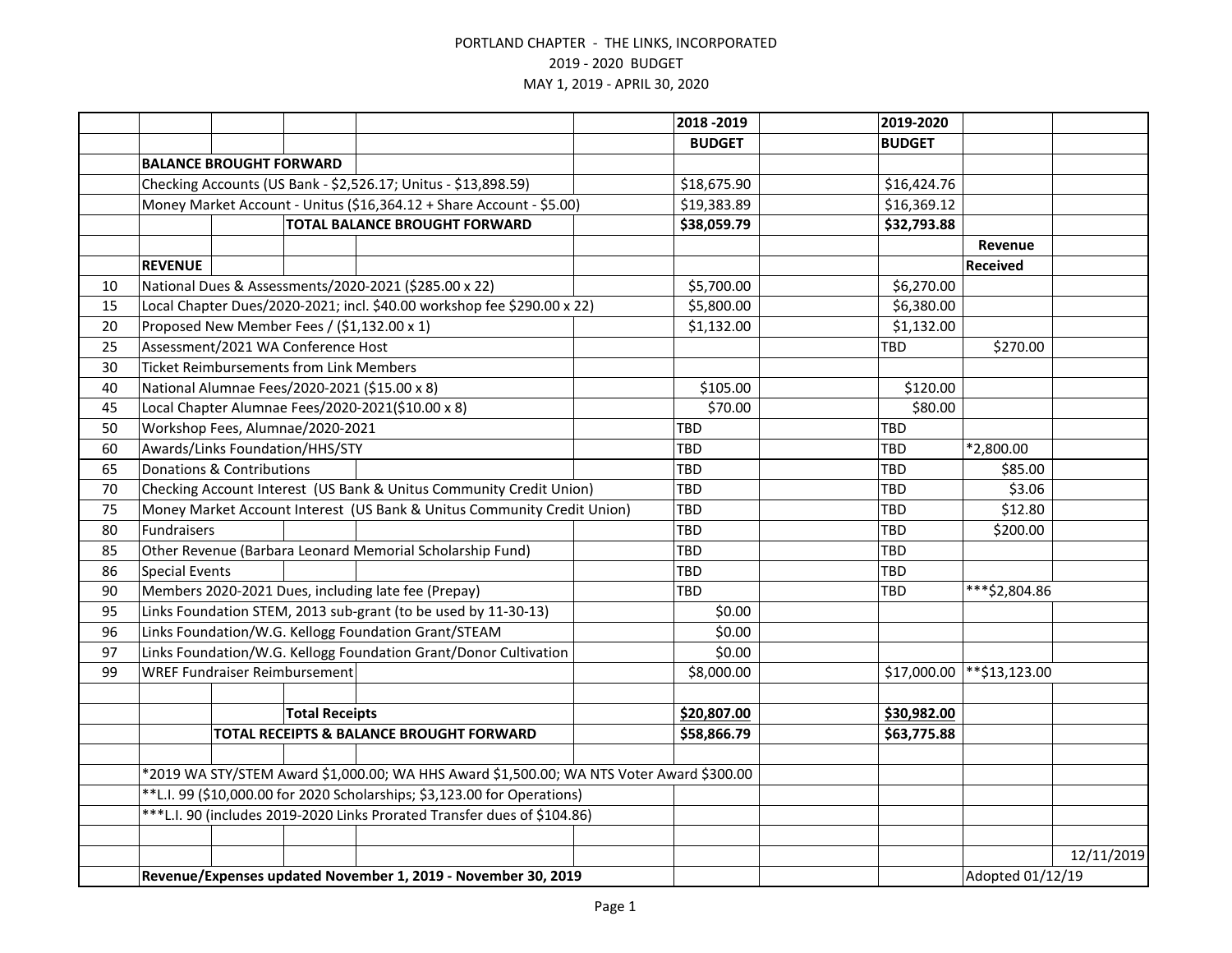|    |                                                                          |                                                |                       |                                                                                          |  | 2018 - 2019   | 2019-2020     |                  |            |
|----|--------------------------------------------------------------------------|------------------------------------------------|-----------------------|------------------------------------------------------------------------------------------|--|---------------|---------------|------------------|------------|
|    |                                                                          |                                                |                       |                                                                                          |  | <b>BUDGET</b> | <b>BUDGET</b> |                  |            |
|    |                                                                          | <b>BALANCE BROUGHT FORWARD</b>                 |                       |                                                                                          |  |               |               |                  |            |
|    | Checking Accounts (US Bank - \$2,526.17; Unitus - \$13,898.59)           |                                                |                       |                                                                                          |  | \$18,675.90   | \$16,424.76   |                  |            |
|    | Money Market Account - Unitus (\$16,364.12 + Share Account - \$5.00)     |                                                |                       |                                                                                          |  | \$19,383.89   | \$16,369.12   |                  |            |
|    |                                                                          |                                                |                       | <b>TOTAL BALANCE BROUGHT FORWARD</b>                                                     |  | \$38,059.79   | \$32,793.88   |                  |            |
|    |                                                                          |                                                |                       |                                                                                          |  |               |               | Revenue          |            |
|    | <b>REVENUE</b>                                                           |                                                |                       |                                                                                          |  |               |               | <b>Received</b>  |            |
| 10 |                                                                          |                                                |                       | National Dues & Assessments/2020-2021 (\$285.00 x 22)                                    |  | \$5,700.00    | \$6,270.00    |                  |            |
| 15 |                                                                          |                                                |                       | Local Chapter Dues/2020-2021; incl. \$40.00 workshop fee \$290.00 x 22)                  |  | \$5,800.00    | \$6,380.00    |                  |            |
| 20 |                                                                          |                                                |                       | Proposed New Member Fees / (\$1,132.00 x 1)                                              |  | \$1,132.00    | \$1,132.00    |                  |            |
| 25 |                                                                          | Assessment/2021 WA Conference Host             |                       |                                                                                          |  |               | TBD           | \$270.00         |            |
| 30 |                                                                          | <b>Ticket Reimbursements from Link Members</b> |                       |                                                                                          |  |               |               |                  |            |
| 40 |                                                                          |                                                |                       | National Alumnae Fees/2020-2021 (\$15.00 x 8)                                            |  | \$105.00      | \$120.00      |                  |            |
| 45 |                                                                          |                                                |                       | Local Chapter Alumnae Fees/2020-2021(\$10.00 x 8)                                        |  | \$70.00       | \$80.00       |                  |            |
| 50 |                                                                          | Workshop Fees, Alumnae/2020-2021               |                       |                                                                                          |  | <b>TBD</b>    | <b>TBD</b>    |                  |            |
| 60 |                                                                          | Awards/Links Foundation/HHS/STY                |                       |                                                                                          |  | TBD           | TBD           | *2,800.00        |            |
| 65 | <b>Donations &amp; Contributions</b>                                     |                                                |                       |                                                                                          |  | TBD           | <b>TBD</b>    | \$85.00          |            |
| 70 | Checking Account Interest (US Bank & Unitus Community Credit Union)      |                                                |                       |                                                                                          |  | TBD           | <b>TBD</b>    | \$3.06           |            |
| 75 | Money Market Account Interest (US Bank & Unitus Community Credit Union)  |                                                |                       |                                                                                          |  | <b>TBD</b>    | <b>TBD</b>    | \$12.80          |            |
| 80 | Fundraisers                                                              |                                                |                       |                                                                                          |  | TBD           | <b>TBD</b>    | \$200.00         |            |
| 85 |                                                                          |                                                |                       | Other Revenue (Barbara Leonard Memorial Scholarship Fund)                                |  | TBD           | <b>TBD</b>    |                  |            |
| 86 | <b>Special Events</b>                                                    |                                                |                       |                                                                                          |  | TBD           | TBD           |                  |            |
| 90 | Members 2020-2021 Dues, including late fee (Prepay)                      |                                                |                       |                                                                                          |  | TBD           | TBD           | ***\$2,804.86    |            |
| 95 |                                                                          |                                                |                       | Links Foundation STEM, 2013 sub-grant (to be used by 11-30-13)                           |  | \$0.00        |               |                  |            |
| 96 |                                                                          |                                                |                       | Links Foundation/W.G. Kellogg Foundation Grant/STEAM                                     |  | \$0.00        |               |                  |            |
| 97 |                                                                          |                                                |                       | Links Foundation/W.G. Kellogg Foundation Grant/Donor Cultivation                         |  | \$0.00        |               |                  |            |
| 99 |                                                                          | <b>WREF Fundraiser Reimbursement</b>           |                       |                                                                                          |  | \$8,000.00    | \$17,000.00   | **\$13,123.00    |            |
|    |                                                                          |                                                |                       |                                                                                          |  |               |               |                  |            |
|    |                                                                          |                                                | <b>Total Receipts</b> |                                                                                          |  | \$20,807.00   | \$30,982.00   |                  |            |
|    |                                                                          |                                                |                       | TOTAL RECEIPTS & BALANCE BROUGHT FORWARD                                                 |  | \$58,866.79   | \$63,775.88   |                  |            |
|    |                                                                          |                                                |                       |                                                                                          |  |               |               |                  |            |
|    |                                                                          |                                                |                       | *2019 WA STY/STEM Award \$1,000.00; WA HHS Award \$1,500.00; WA NTS Voter Award \$300.00 |  |               |               |                  |            |
|    | **L.I. 99 (\$10,000.00 for 2020 Scholarships; \$3,123.00 for Operations) |                                                |                       |                                                                                          |  |               |               |                  |            |
|    |                                                                          |                                                |                       | ***L.I. 90 (includes 2019-2020 Links Prorated Transfer dues of \$104.86)                 |  |               |               |                  |            |
|    |                                                                          |                                                |                       |                                                                                          |  |               |               |                  |            |
|    |                                                                          |                                                |                       |                                                                                          |  |               |               |                  | 12/11/2019 |
|    | Revenue/Expenses updated November 1, 2019 - November 30, 2019            |                                                |                       |                                                                                          |  |               |               | Adopted 01/12/19 |            |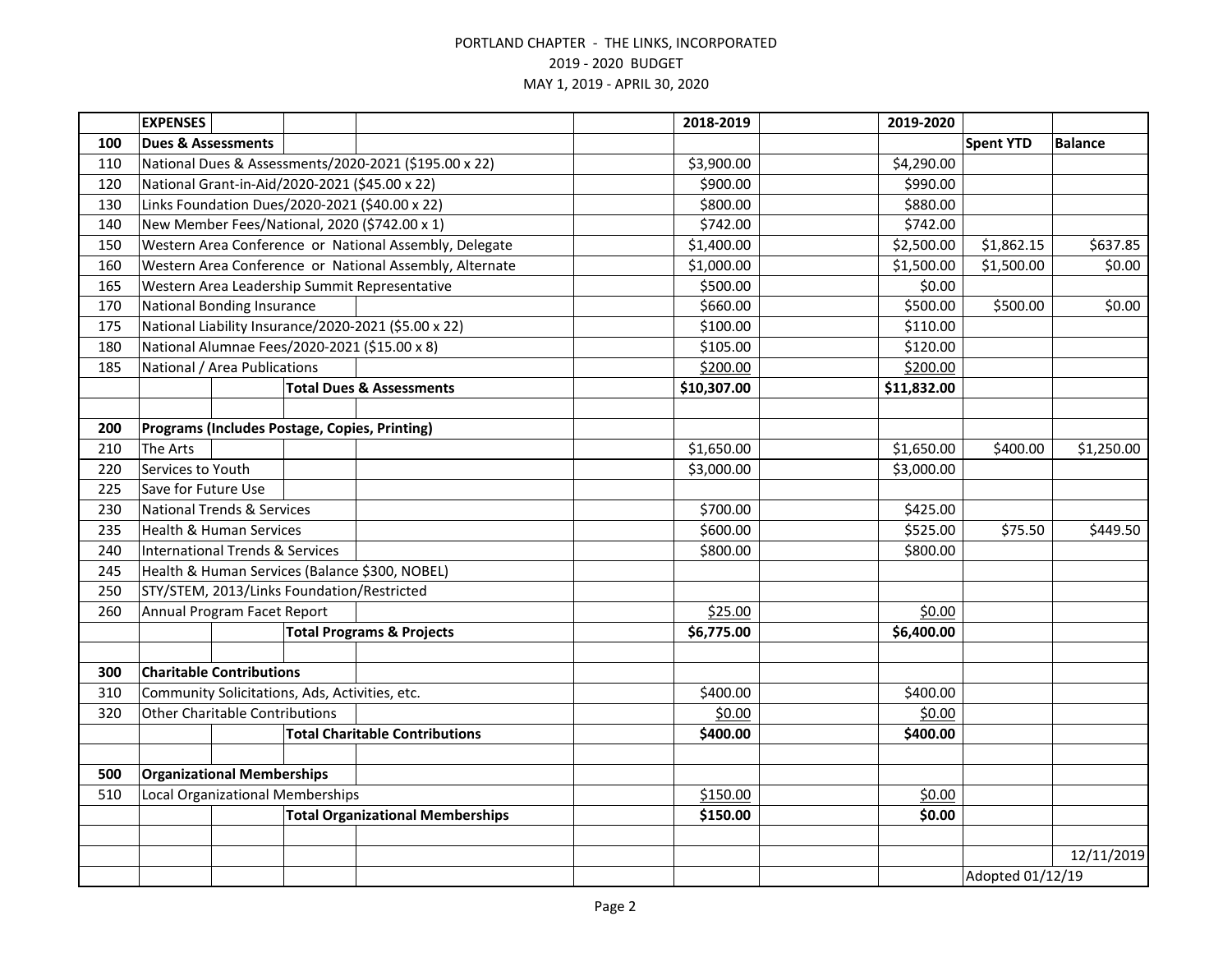|     | <b>EXPENSES</b>                                |  |                                                |                                                         | 2018-2019   | 2019-2020   |                  |                |
|-----|------------------------------------------------|--|------------------------------------------------|---------------------------------------------------------|-------------|-------------|------------------|----------------|
| 100 | <b>Dues &amp; Assessments</b>                  |  |                                                |                                                         |             |             | <b>Spent YTD</b> | <b>Balance</b> |
| 110 |                                                |  |                                                | National Dues & Assessments/2020-2021 (\$195.00 x 22)   | \$3,900.00  | \$4,290.00  |                  |                |
| 120 |                                                |  |                                                | National Grant-in-Aid/2020-2021 (\$45.00 x 22)          | \$900.00    | \$990.00    |                  |                |
| 130 |                                                |  |                                                | Links Foundation Dues/2020-2021 (\$40.00 x 22)          | \$800.00    | \$880.00    |                  |                |
| 140 |                                                |  |                                                | New Member Fees/National, 2020 (\$742.00 x 1)           | \$742.00    | \$742.00    |                  |                |
| 150 |                                                |  |                                                | Western Area Conference or National Assembly, Delegate  | \$1,400.00  | \$2,500.00  | \$1,862.15       | \$637.85       |
| 160 |                                                |  |                                                | Western Area Conference or National Assembly, Alternate | \$1,000.00  | \$1,500.00  | \$1,500.00       | \$0.00         |
| 165 |                                                |  |                                                | Western Area Leadership Summit Representative           | \$500.00    | \$0.00      |                  |                |
| 170 | <b>National Bonding Insurance</b>              |  |                                                |                                                         | \$660.00    | \$500.00    | \$500.00         | \$0.00         |
| 175 |                                                |  |                                                | National Liability Insurance/2020-2021 (\$5.00 x 22)    | \$100.00    | \$110.00    |                  |                |
| 180 |                                                |  |                                                | National Alumnae Fees/2020-2021 (\$15.00 x 8)           | \$105.00    | \$120.00    |                  |                |
| 185 | National / Area Publications                   |  |                                                |                                                         | \$200.00    | \$200.00    |                  |                |
|     |                                                |  |                                                | <b>Total Dues &amp; Assessments</b>                     | \$10,307.00 | \$11,832.00 |                  |                |
|     |                                                |  |                                                |                                                         |             |             |                  |                |
| 200 |                                                |  |                                                | Programs (Includes Postage, Copies, Printing)           |             |             |                  |                |
| 210 | The Arts                                       |  |                                                |                                                         | \$1,650.00  | \$1,650.00  | \$400.00         | \$1,250.00     |
| 220 | Services to Youth                              |  |                                                |                                                         | \$3,000.00  | \$3,000.00  |                  |                |
| 225 | Save for Future Use                            |  |                                                |                                                         |             |             |                  |                |
| 230 | <b>National Trends &amp; Services</b>          |  |                                                |                                                         | \$700.00    | \$425.00    |                  |                |
| 235 | <b>Health &amp; Human Services</b>             |  |                                                |                                                         | \$600.00    | \$525.00    | \$75.50          | \$449.50       |
| 240 | <b>International Trends &amp; Services</b>     |  |                                                |                                                         | \$800.00    | \$800.00    |                  |                |
| 245 | Health & Human Services (Balance \$300, NOBEL) |  |                                                |                                                         |             |             |                  |                |
| 250 |                                                |  | STY/STEM, 2013/Links Foundation/Restricted     |                                                         |             |             |                  |                |
| 260 | Annual Program Facet Report                    |  |                                                |                                                         | \$25.00     | \$0.00      |                  |                |
|     |                                                |  |                                                | <b>Total Programs &amp; Projects</b>                    | \$6,775.00  | \$6,400.00  |                  |                |
|     |                                                |  |                                                |                                                         |             |             |                  |                |
| 300 | <b>Charitable Contributions</b>                |  |                                                |                                                         |             |             |                  |                |
| 310 |                                                |  | Community Solicitations, Ads, Activities, etc. |                                                         | \$400.00    | \$400.00    |                  |                |
| 320 | <b>Other Charitable Contributions</b>          |  |                                                |                                                         | \$0.00      | \$0.00      |                  |                |
|     |                                                |  |                                                | <b>Total Charitable Contributions</b>                   | \$400.00    | \$400.00    |                  |                |
|     |                                                |  |                                                |                                                         |             |             |                  |                |
| 500 | <b>Organizational Memberships</b>              |  |                                                |                                                         |             |             |                  |                |
| 510 | <b>Local Organizational Memberships</b>        |  |                                                |                                                         | \$150.00    | \$0.00      |                  |                |
|     | <b>Total Organizational Memberships</b>        |  | \$150.00                                       | \$0.00                                                  |             |             |                  |                |
|     |                                                |  |                                                |                                                         |             |             |                  |                |
|     |                                                |  |                                                |                                                         |             |             |                  | 12/11/2019     |
|     |                                                |  |                                                |                                                         |             |             | Adopted 01/12/19 |                |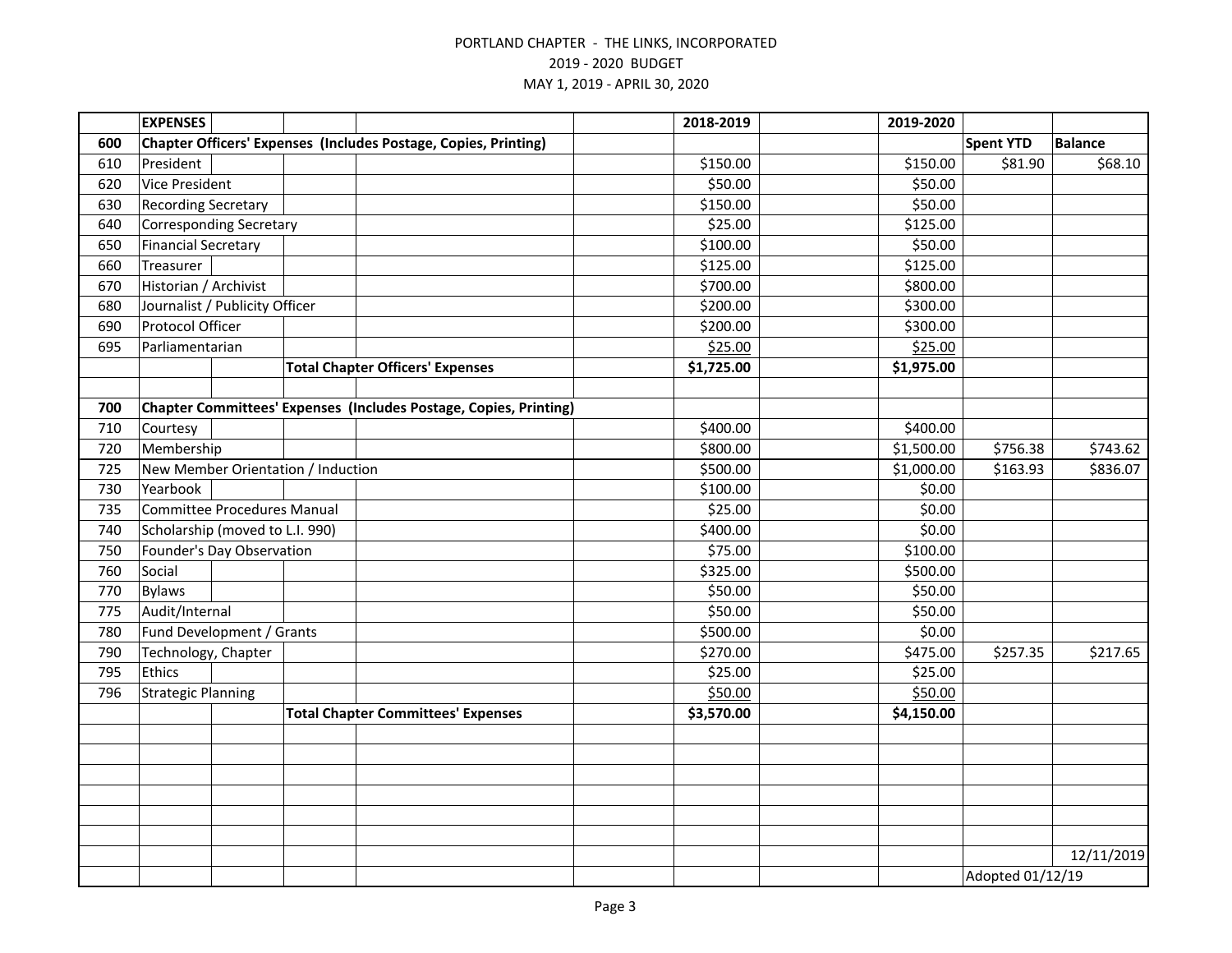|     | <b>EXPENSES</b>                    |  |  |                                                                   | 2018-2019  | 2019-2020  |                  |                |
|-----|------------------------------------|--|--|-------------------------------------------------------------------|------------|------------|------------------|----------------|
| 600 |                                    |  |  | Chapter Officers' Expenses (Includes Postage, Copies, Printing)   |            |            | <b>Spent YTD</b> | <b>Balance</b> |
| 610 | President                          |  |  |                                                                   | \$150.00   | \$150.00   | \$81.90          | \$68.10        |
| 620 | <b>Vice President</b>              |  |  |                                                                   | \$50.00    | \$50.00    |                  |                |
| 630 | <b>Recording Secretary</b>         |  |  |                                                                   | \$150.00   | \$50.00    |                  |                |
| 640 | <b>Corresponding Secretary</b>     |  |  |                                                                   | \$25.00    | \$125.00   |                  |                |
| 650 | <b>Financial Secretary</b>         |  |  |                                                                   | \$100.00   | \$50.00    |                  |                |
| 660 | Treasurer                          |  |  |                                                                   | \$125.00   | \$125.00   |                  |                |
| 670 | Historian / Archivist              |  |  |                                                                   | \$700.00   | \$800.00   |                  |                |
| 680 | Journalist / Publicity Officer     |  |  |                                                                   | \$200.00   | \$300.00   |                  |                |
| 690 | Protocol Officer                   |  |  |                                                                   | \$200.00   | \$300.00   |                  |                |
| 695 | Parliamentarian                    |  |  |                                                                   | \$25.00    | \$25.00    |                  |                |
|     |                                    |  |  | <b>Total Chapter Officers' Expenses</b>                           | \$1,725.00 | \$1,975.00 |                  |                |
|     |                                    |  |  |                                                                   |            |            |                  |                |
| 700 |                                    |  |  | Chapter Committees' Expenses (Includes Postage, Copies, Printing) |            |            |                  |                |
| 710 | Courtesy                           |  |  |                                                                   | \$400.00   | \$400.00   |                  |                |
| 720 | Membership                         |  |  |                                                                   | \$800.00   | \$1,500.00 | \$756.38         | \$743.62       |
| 725 | New Member Orientation / Induction |  |  |                                                                   | \$500.00   | \$1,000.00 | \$163.93         | \$836.07       |
| 730 | Yearbook                           |  |  |                                                                   | \$100.00   | \$0.00     |                  |                |
| 735 | Committee Procedures Manual        |  |  |                                                                   | \$25.00    | \$0.00     |                  |                |
| 740 | Scholarship (moved to L.I. 990)    |  |  |                                                                   | \$400.00   | \$0.00     |                  |                |
| 750 | Founder's Day Observation          |  |  |                                                                   | \$75.00    | \$100.00   |                  |                |
| 760 | Social                             |  |  |                                                                   | \$325.00   | \$500.00   |                  |                |
| 770 | <b>Bylaws</b>                      |  |  |                                                                   | \$50.00    | \$50.00    |                  |                |
| 775 | Audit/Internal                     |  |  |                                                                   | \$50.00    | \$50.00    |                  |                |
| 780 | Fund Development / Grants          |  |  |                                                                   | \$500.00   | \$0.00     |                  |                |
| 790 | Technology, Chapter                |  |  |                                                                   | \$270.00   | \$475.00   | \$257.35         | \$217.65       |
| 795 | <b>Ethics</b>                      |  |  |                                                                   | \$25.00    | \$25.00    |                  |                |
| 796 | <b>Strategic Planning</b>          |  |  |                                                                   | \$50.00    | \$50.00    |                  |                |
|     |                                    |  |  | <b>Total Chapter Committees' Expenses</b>                         | \$3,570.00 | \$4,150.00 |                  |                |
|     |                                    |  |  |                                                                   |            |            |                  |                |
|     |                                    |  |  |                                                                   |            |            |                  |                |
|     |                                    |  |  |                                                                   |            |            |                  |                |
|     |                                    |  |  |                                                                   |            |            |                  |                |
|     |                                    |  |  |                                                                   |            |            |                  |                |
|     |                                    |  |  |                                                                   |            |            |                  |                |
|     |                                    |  |  |                                                                   |            |            |                  | 12/11/2019     |
|     |                                    |  |  |                                                                   |            |            | Adopted 01/12/19 |                |